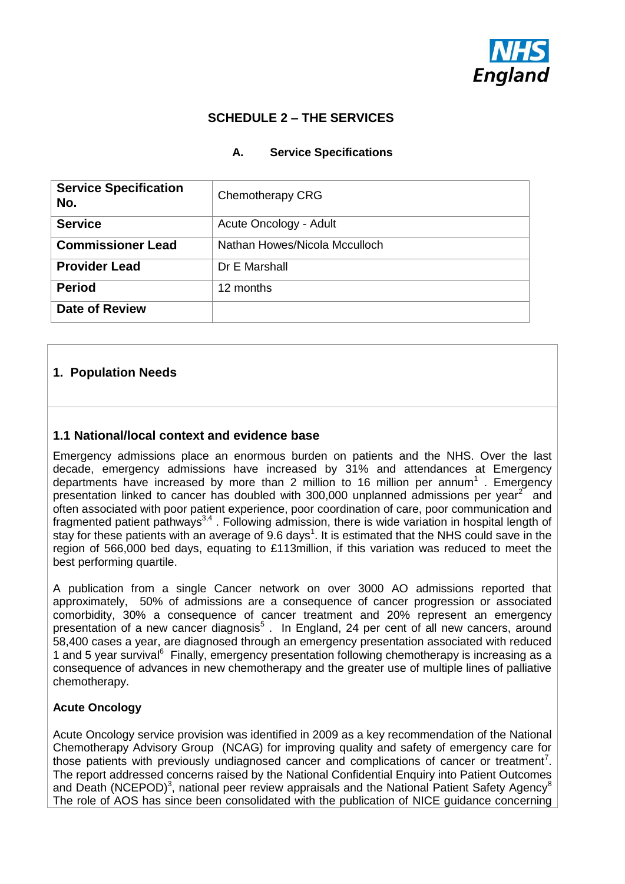

# **SCHEDULE 2 – THE SERVICES**

#### **A. Service Specifications**

| <b>Service Specification</b><br>No. | Chemotherapy CRG              |  |  |
|-------------------------------------|-------------------------------|--|--|
| <b>Service</b>                      | Acute Oncology - Adult        |  |  |
| <b>Commissioner Lead</b>            | Nathan Howes/Nicola Mcculloch |  |  |
| <b>Provider Lead</b>                | Dr E Marshall                 |  |  |
| <b>Period</b>                       | 12 months                     |  |  |
| <b>Date of Review</b>               |                               |  |  |

### **1. Population Needs**

#### **1.1 National/local context and evidence base**

Emergency admissions place an enormous burden on patients and the NHS. Over the last decade, emergency admissions have increased by 31% and attendances at Emergency departments have increased by more than 2 million to 16 million per annum<sup>1</sup>. Emergency presentation linked to cancer has doubled with 300,000 unplanned admissions per year $2$  and often associated with poor patient experience, poor coordination of care, poor communication and fragmented patient pathways<sup>3,4</sup>. Following admission, there is wide variation in hospital length of stay for these patients with an average of 9.6 days<sup>1</sup>. It is estimated that the NHS could save in the region of 566,000 bed days, equating to £113million, if this variation was reduced to meet the best performing quartile.

A publication from a single Cancer network on over 3000 AO admissions reported that approximately, 50% of admissions are a consequence of cancer progression or associated comorbidity, 30% a consequence of cancer treatment and 20% represent an emergency presentation of a new cancer diagnosis<sup>5</sup>. In England, 24 per cent of all new cancers, around 58,400 cases a year, are diagnosed through an emergency presentation associated with reduced 1 and 5 year survival<sup>6</sup> Finally, emergency presentation following chemotherapy is increasing as a consequence of advances in new chemotherapy and the greater use of multiple lines of palliative chemotherapy.

#### **Acute Oncology**

Acute Oncology service provision was identified in 2009 as a key recommendation of the National Chemotherapy Advisory Group (NCAG) for improving quality and safety of emergency care for those patients with previously undiagnosed cancer and complications of cancer or treatment<sup>7</sup>. The report addressed concerns raised by the National Confidential Enquiry into Patient Outcomes and Death (NCEPOD)<sup>3</sup>, national peer review appraisals and the National Patient Safety Agency<sup>8</sup> The role of AOS has since been consolidated with the publication of NICE guidance concerning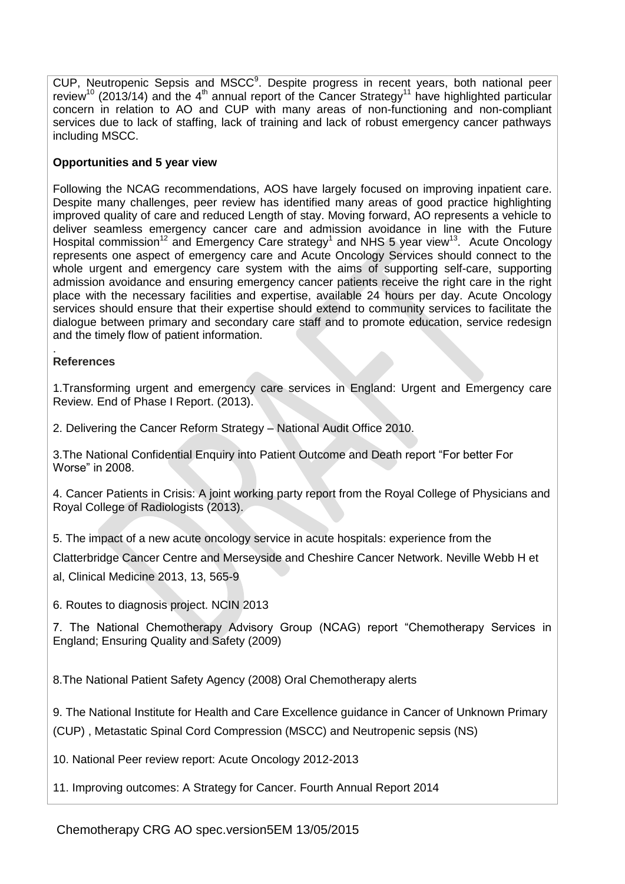CUP, Neutropenic Sepsis and MSCC<sup>9</sup>. Despite progress in recent years, both national peer review<sup>10</sup> (2013/14) and the 4<sup>th</sup> annual report of the Cancer Strategy<sup>11</sup> have highlighted particular concern in relation to AO and CUP with many areas of non-functioning and non-compliant services due to lack of staffing, lack of training and lack of robust emergency cancer pathways including MSCC.

### **Opportunities and 5 year view**

Following the NCAG recommendations, AOS have largely focused on improving inpatient care. Despite many challenges, peer review has identified many areas of good practice highlighting improved quality of care and reduced Length of stay. Moving forward, AO represents a vehicle to deliver seamless emergency cancer care and admission avoidance in line with the Future Hospital commission<sup>12</sup> and Emergency Care strategy<sup>1</sup> and NHS 5 year view<sup>13</sup>. Acute Oncology represents one aspect of emergency care and Acute Oncology Services should connect to the whole urgent and emergency care system with the aims of supporting self-care, supporting admission avoidance and ensuring emergency cancer patients receive the right care in the right place with the necessary facilities and expertise, available 24 hours per day. Acute Oncology services should ensure that their expertise should extend to community services to facilitate the dialogue between primary and secondary care staff and to promote education, service redesign and the timely flow of patient information.

#### **References**

.

1.Transforming urgent and emergency care services in England: Urgent and Emergency care Review. End of Phase I Report. (2013).

2. Delivering the Cancer Reform Strategy – National Audit Office 2010.

3.The National Confidential Enquiry into Patient Outcome and Death report "For better For Worse" in 2008.

4. Cancer Patients in Crisis: A joint working party report from the Royal College of Physicians and Royal College of Radiologists (2013).

5. The impact of a new acute oncology service in acute hospitals: experience from the

Clatterbridge Cancer Centre and Merseyside and Cheshire Cancer Network. Neville Webb H et

al, Clinical Medicine 2013, 13, 565-9

6. Routes to diagnosis project. NCIN 2013

7. The National Chemotherapy Advisory Group (NCAG) report "Chemotherapy Services in England; Ensuring Quality and Safety (2009)

8.The National Patient Safety Agency (2008) Oral Chemotherapy alerts

9. The National Institute for Health and Care Excellence guidance in Cancer of Unknown Primary (CUP) , Metastatic Spinal Cord Compression (MSCC) and Neutropenic sepsis (NS)

10. National Peer review report: Acute Oncology 2012-2013

11. Improving outcomes: A Strategy for Cancer. Fourth Annual Report 2014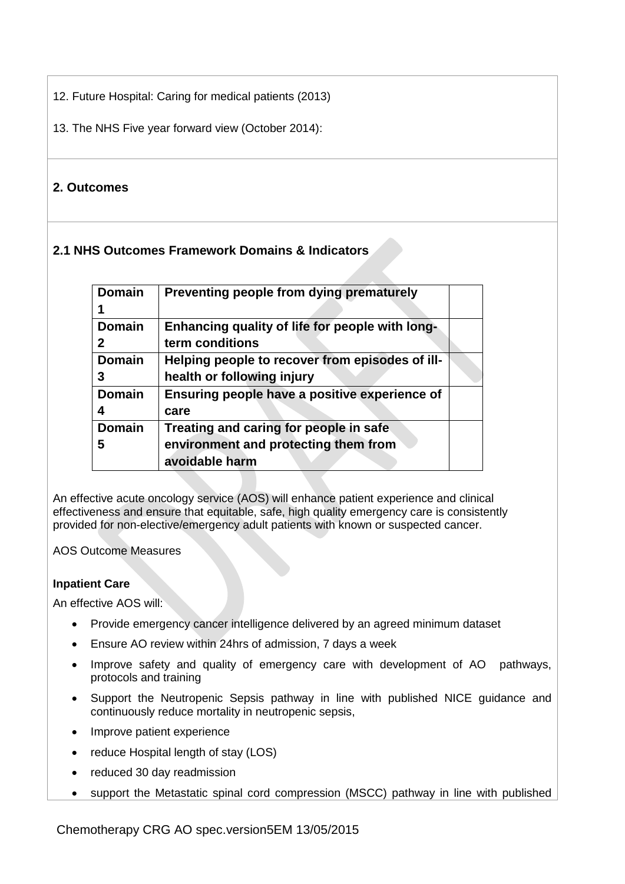12. Future Hospital: Caring for medical patients (2013)

13. The NHS Five year forward view (October 2014):

# **2. Outcomes**

# **2.1 NHS Outcomes Framework Domains & Indicators**

| <b>Domain</b> | Preventing people from dying prematurely        |  |
|---------------|-------------------------------------------------|--|
|               |                                                 |  |
| <b>Domain</b> | Enhancing quality of life for people with long- |  |
| 2             | term conditions                                 |  |
| <b>Domain</b> | Helping people to recover from episodes of ill- |  |
|               | health or following injury                      |  |
| <b>Domain</b> | Ensuring people have a positive experience of   |  |
|               | care                                            |  |
| <b>Domain</b> | Treating and caring for people in safe          |  |
| 5             | environment and protecting them from            |  |
|               | avoidable harm                                  |  |

An effective acute oncology service (AOS) will enhance patient experience and clinical effectiveness and ensure that equitable, safe, high quality emergency care is consistently provided for non-elective/emergency adult patients with known or suspected cancer.

AOS Outcome Measures

### **Inpatient Care**

An effective AOS will:

- Provide emergency cancer intelligence delivered by an agreed minimum dataset
- Ensure AO review within 24hrs of admission, 7 days a week
- Improve safety and quality of emergency care with development of AO pathways, protocols and training
- Support the Neutropenic Sepsis pathway in line with published NICE guidance and continuously reduce mortality in neutropenic sepsis,
- Improve patient experience
- reduce Hospital length of stay (LOS)
- reduced 30 day readmission
- support the Metastatic spinal cord compression (MSCC) pathway in line with published

Chemotherapy CRG AO spec.version5EM 13/05/2015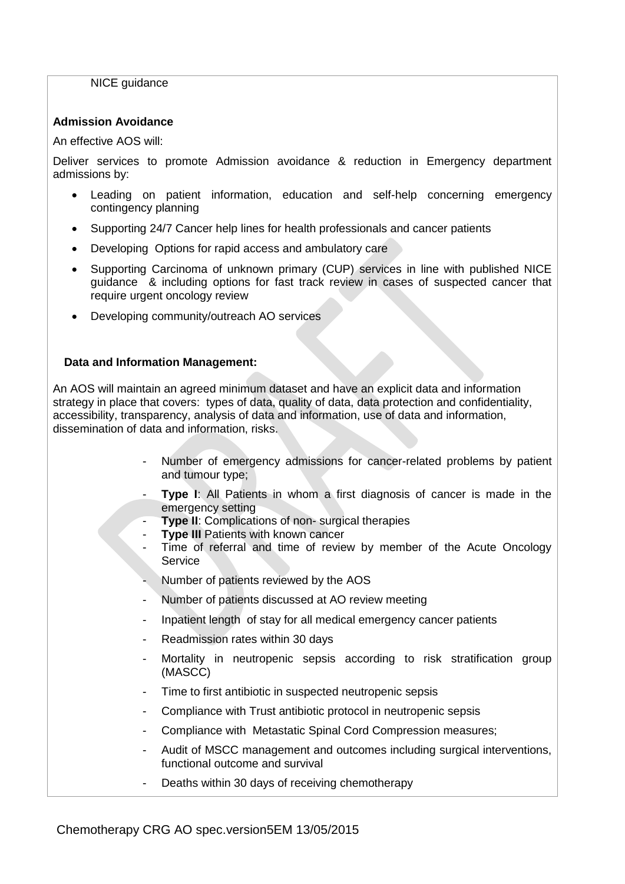#### NICE quidance

#### **Admission Avoidance**

An effective AOS will:

Deliver services to promote Admission avoidance & reduction in Emergency department admissions by:

- Leading on patient information, education and self-help concerning emergency contingency planning
- Supporting 24/7 Cancer help lines for health professionals and cancer patients
- Developing Options for rapid access and ambulatory care
- Supporting Carcinoma of unknown primary (CUP) services in line with published NICE guidance & including options for fast track review in cases of suspected cancer that require urgent oncology review
- Developing community/outreach AO services

#### **Data and Information Management:**

An AOS will maintain an agreed minimum dataset and have an explicit data and information strategy in place that covers: types of data, quality of data, data protection and confidentiality, accessibility, transparency, analysis of data and information, use of data and information, dissemination of data and information, risks.

- Number of emergency admissions for cancer-related problems by patient and tumour type;
- **Type I**: All Patients in whom a first diagnosis of cancer is made in the emergency setting
- **Type II**: Complications of non- surgical therapies
	- **Type III Patients with known cancer**
- Time of referral and time of review by member of the Acute Oncology **Service**
- Number of patients reviewed by the AOS
- Number of patients discussed at AO review meeting
- Inpatient length of stay for all medical emergency cancer patients
- Readmission rates within 30 days
- Mortality in neutropenic sepsis according to risk stratification group (MASCC)
- Time to first antibiotic in suspected neutropenic sepsis
- Compliance with Trust antibiotic protocol in neutropenic sepsis
- Compliance with Metastatic Spinal Cord Compression measures;
- Audit of MSCC management and outcomes including surgical interventions, functional outcome and survival
- Deaths within 30 days of receiving chemotherapy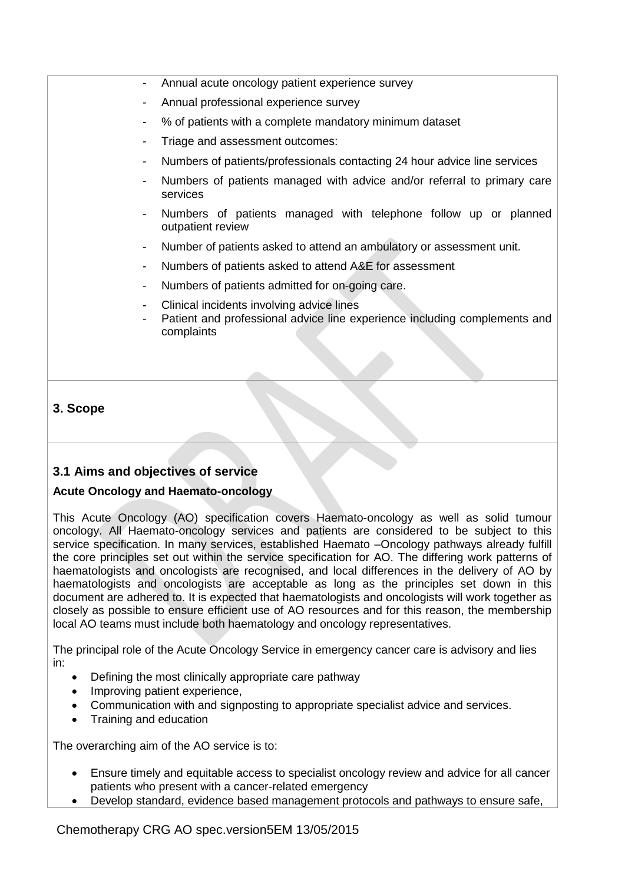- Annual acute oncology patient experience survey
- Annual professional experience survey
- % of patients with a complete mandatory minimum dataset
- Triage and assessment outcomes:
- Numbers of patients/professionals contacting 24 hour advice line services
- Numbers of patients managed with advice and/or referral to primary care services
- Numbers of patients managed with telephone follow up or planned outpatient review
- Number of patients asked to attend an ambulatory or assessment unit.
- Numbers of patients asked to attend A&E for assessment
- Numbers of patients admitted for on-going care.
- Clinical incidents involving advice lines
- Patient and professional advice line experience including complements and complaints

### **3. Scope**

### **3.1 Aims and objectives of service**

#### **Acute Oncology and Haemato-oncology**

This Acute Oncology (AO) specification covers Haemato-oncology as well as solid tumour oncology. All Haemato-oncology services and patients are considered to be subject to this service specification. In many services, established Haemato –Oncology pathways already fulfill the core principles set out within the service specification for AO. The differing work patterns of haematologists and oncologists are recognised, and local differences in the delivery of AO by haematologists and oncologists are acceptable as long as the principles set down in this document are adhered to. It is expected that haematologists and oncologists will work together as closely as possible to ensure efficient use of AO resources and for this reason, the membership local AO teams must include both haematology and oncology representatives.

The principal role of the Acute Oncology Service in emergency cancer care is advisory and lies in:

- Defining the most clinically appropriate care pathway
- Improving patient experience,
- Communication with and signposting to appropriate specialist advice and services.
- Training and education

The overarching aim of the AO service is to:

- Ensure timely and equitable access to specialist oncology review and advice for all cancer patients who present with a cancer-related emergency
- Develop standard, evidence based management protocols and pathways to ensure safe,

Chemotherapy CRG AO spec.version5EM 13/05/2015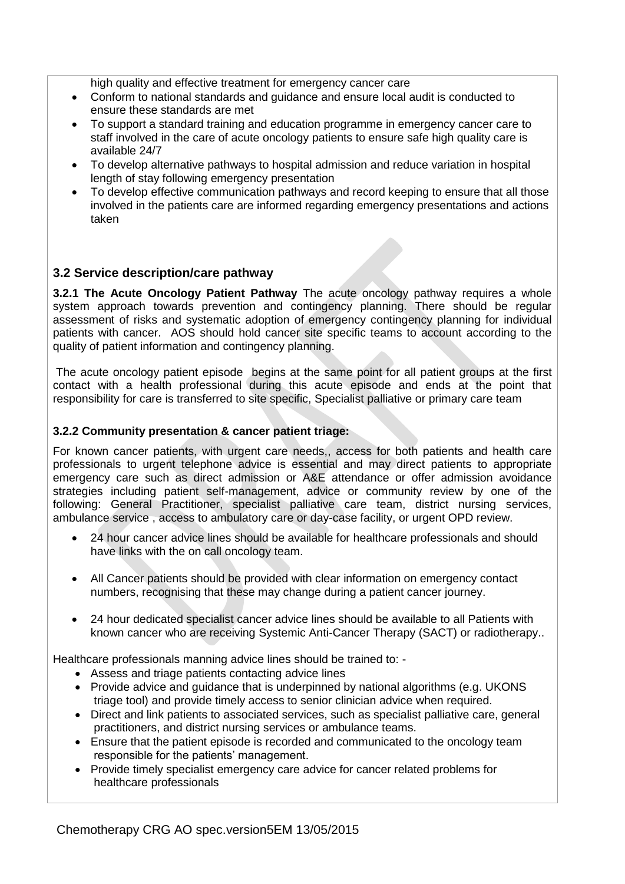high quality and effective treatment for emergency cancer care

- Conform to national standards and guidance and ensure local audit is conducted to ensure these standards are met
- To support a standard training and education programme in emergency cancer care to staff involved in the care of acute oncology patients to ensure safe high quality care is available 24/7
- To develop alternative pathways to hospital admission and reduce variation in hospital length of stay following emergency presentation
- To develop effective communication pathways and record keeping to ensure that all those involved in the patients care are informed regarding emergency presentations and actions taken

### **3.2 Service description/care pathway**

**3.2.1 The Acute Oncology Patient Pathway** The acute oncology pathway requires a whole system approach towards prevention and contingency planning. There should be regular assessment of risks and systematic adoption of emergency contingency planning for individual patients with cancer. AOS should hold cancer site specific teams to account according to the quality of patient information and contingency planning.

The acute oncology patient episode begins at the same point for all patient groups at the first contact with a health professional during this acute episode and ends at the point that responsibility for care is transferred to site specific, Specialist palliative or primary care team

#### **3.2.2 Community presentation & cancer patient triage:**

For known cancer patients, with urgent care needs,, access for both patients and health care professionals to urgent telephone advice is essential and may direct patients to appropriate emergency care such as direct admission or A&E attendance or offer admission avoidance strategies including patient self-management, advice or community review by one of the following: General Practitioner, specialist palliative care team, district nursing services, ambulance service , access to ambulatory care or day-case facility, or urgent OPD review.

- 24 hour cancer advice lines should be available for healthcare professionals and should have links with the on call oncology team.
- All Cancer patients should be provided with clear information on emergency contact numbers, recognising that these may change during a patient cancer journey.
- 24 hour dedicated specialist cancer advice lines should be available to all Patients with known cancer who are receiving Systemic Anti-Cancer Therapy (SACT) or radiotherapy..

Healthcare professionals manning advice lines should be trained to: -

- Assess and triage patients contacting advice lines
- Provide advice and quidance that is underpinned by national algorithms (e.g. UKONS triage tool) and provide timely access to senior clinician advice when required.
- Direct and link patients to associated services, such as specialist palliative care, general practitioners, and district nursing services or ambulance teams.
- Ensure that the patient episode is recorded and communicated to the oncology team responsible for the patients' management.
- Provide timely specialist emergency care advice for cancer related problems for healthcare professionals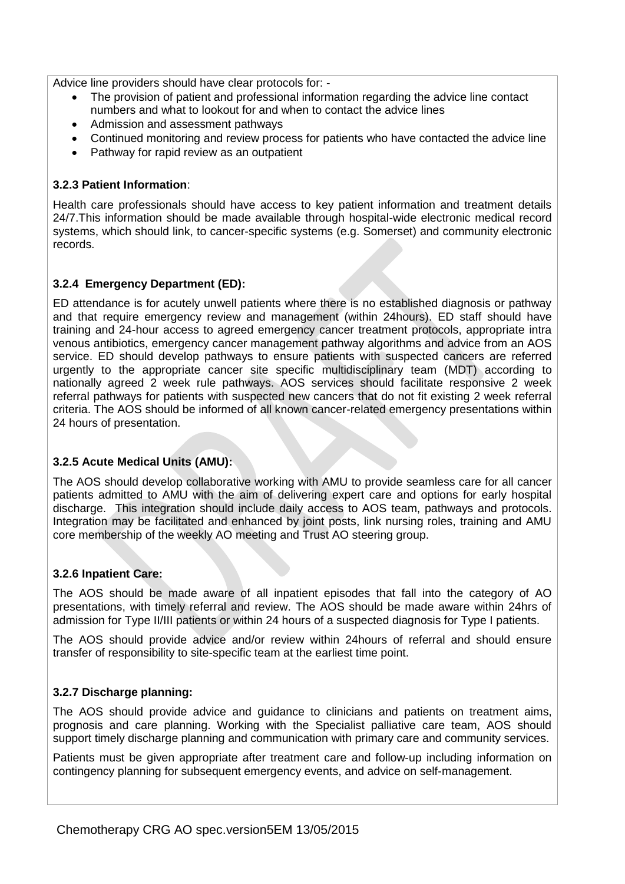Advice line providers should have clear protocols for: -

- The provision of patient and professional information regarding the advice line contact numbers and what to lookout for and when to contact the advice lines
- Admission and assessment pathways
- Continued monitoring and review process for patients who have contacted the advice line
- Pathway for rapid review as an outpatient

#### **3.2.3 Patient Information**:

Health care professionals should have access to key patient information and treatment details 24/7.This information should be made available through hospital-wide electronic medical record systems, which should link, to cancer-specific systems (e.g. Somerset) and community electronic records.

#### **3.2.4 Emergency Department (ED):**

ED attendance is for acutely unwell patients where there is no established diagnosis or pathway and that require emergency review and management (within 24hours). ED staff should have training and 24-hour access to agreed emergency cancer treatment protocols, appropriate intra venous antibiotics, emergency cancer management pathway algorithms and advice from an AOS service. ED should develop pathways to ensure patients with suspected cancers are referred urgently to the appropriate cancer site specific multidisciplinary team (MDT) according to nationally agreed 2 week rule pathways. AOS services should facilitate responsive 2 week referral pathways for patients with suspected new cancers that do not fit existing 2 week referral criteria. The AOS should be informed of all known cancer-related emergency presentations within 24 hours of presentation.

#### **3.2.5 Acute Medical Units (AMU):**

The AOS should develop collaborative working with AMU to provide seamless care for all cancer patients admitted to AMU with the aim of delivering expert care and options for early hospital discharge. This integration should include daily access to AOS team, pathways and protocols. Integration may be facilitated and enhanced by joint posts, link nursing roles, training and AMU core membership of the weekly AO meeting and Trust AO steering group.

#### **3.2.6 Inpatient Care:**

The AOS should be made aware of all inpatient episodes that fall into the category of AO presentations, with timely referral and review. The AOS should be made aware within 24hrs of admission for Type II/III patients or within 24 hours of a suspected diagnosis for Type I patients.

The AOS should provide advice and/or review within 24hours of referral and should ensure transfer of responsibility to site-specific team at the earliest time point.

#### **3.2.7 Discharge planning:**

The AOS should provide advice and guidance to clinicians and patients on treatment aims, prognosis and care planning. Working with the Specialist palliative care team, AOS should support timely discharge planning and communication with primary care and community services.

Patients must be given appropriate after treatment care and follow-up including information on contingency planning for subsequent emergency events, and advice on self-management.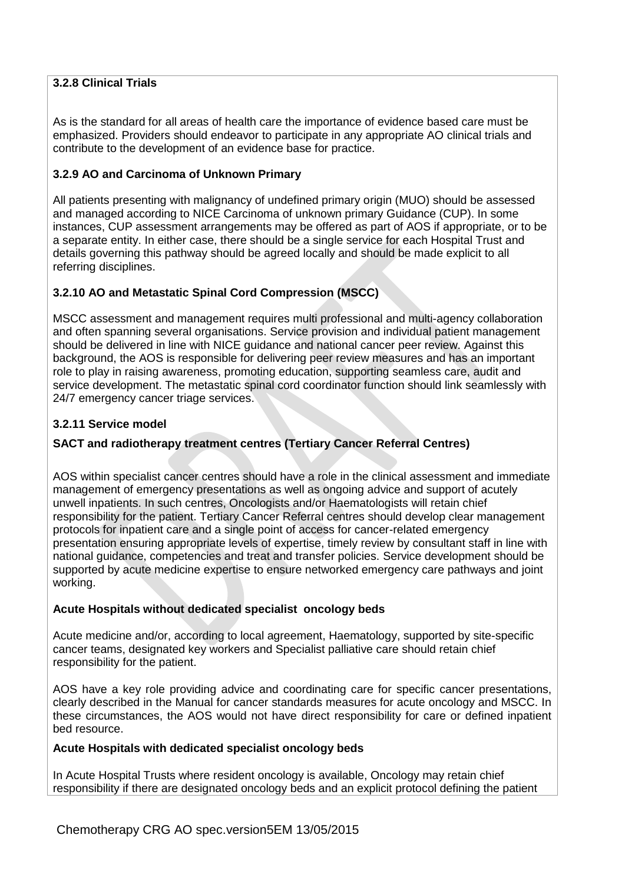### **3.2.8 Clinical Trials**

As is the standard for all areas of health care the importance of evidence based care must be emphasized. Providers should endeavor to participate in any appropriate AO clinical trials and contribute to the development of an evidence base for practice.

#### **3.2.9 AO and Carcinoma of Unknown Primary**

All patients presenting with malignancy of undefined primary origin (MUO) should be assessed and managed according to NICE Carcinoma of unknown primary Guidance (CUP). In some instances, CUP assessment arrangements may be offered as part of AOS if appropriate, or to be a separate entity. In either case, there should be a single service for each Hospital Trust and details governing this pathway should be agreed locally and should be made explicit to all referring disciplines.

### **3.2.10 AO and Metastatic Spinal Cord Compression (MSCC)**

MSCC assessment and management requires multi professional and multi-agency collaboration and often spanning several organisations. Service provision and individual patient management should be delivered in line with NICE guidance and national cancer peer review. Against this background, the AOS is responsible for delivering peer review measures and has an important role to play in raising awareness, promoting education, supporting seamless care, audit and service development. The metastatic spinal cord coordinator function should link seamlessly with 24/7 emergency cancer triage services.

#### **3.2.11 Service model**

### **SACT and radiotherapy treatment centres (Tertiary Cancer Referral Centres)**

AOS within specialist cancer centres should have a role in the clinical assessment and immediate management of emergency presentations as well as ongoing advice and support of acutely unwell inpatients. In such centres, Oncologists and/or Haematologists will retain chief responsibility for the patient. Tertiary Cancer Referral centres should develop clear management protocols for inpatient care and a single point of access for cancer-related emergency presentation ensuring appropriate levels of expertise, timely review by consultant staff in line with national guidance, competencies and treat and transfer policies. Service development should be supported by acute medicine expertise to ensure networked emergency care pathways and joint working.

#### **Acute Hospitals without dedicated specialist oncology beds**

Acute medicine and/or, according to local agreement, Haematology, supported by site-specific cancer teams, designated key workers and Specialist palliative care should retain chief responsibility for the patient.

AOS have a key role providing advice and coordinating care for specific cancer presentations, clearly described in the Manual for cancer standards measures for acute oncology and MSCC. In these circumstances, the AOS would not have direct responsibility for care or defined inpatient bed resource.

#### **Acute Hospitals with dedicated specialist oncology beds**

In Acute Hospital Trusts where resident oncology is available, Oncology may retain chief responsibility if there are designated oncology beds and an explicit protocol defining the patient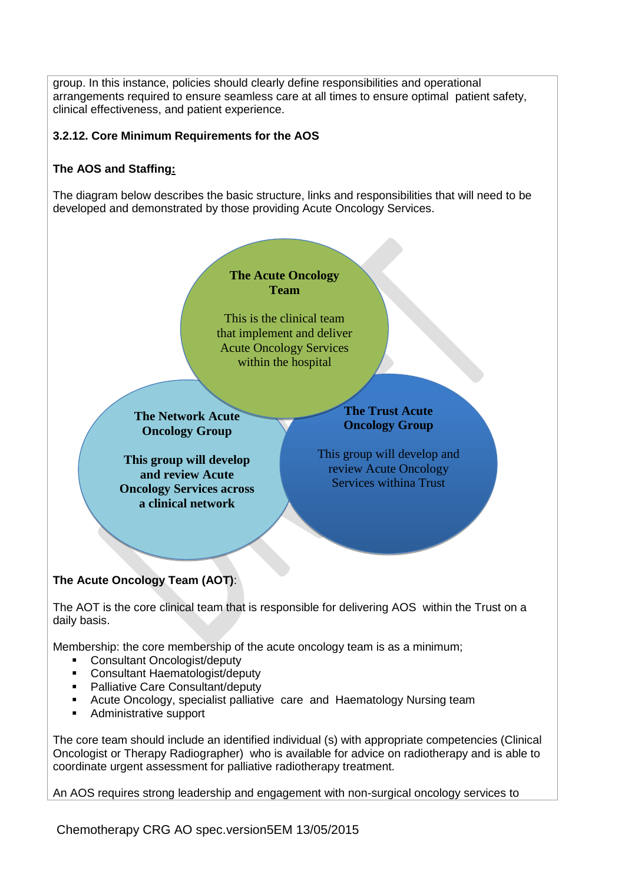group. In this instance, policies should clearly define responsibilities and operational arrangements required to ensure seamless care at all times to ensure optimal patient safety, clinical effectiveness, and patient experience.

### **3.2.12. Core Minimum Requirements for the AOS**

## **The AOS and Staffing:**

The diagram below describes the basic structure, links and responsibilities that will need to be developed and demonstrated by those providing Acute Oncology Services.



Membership: the core membership of the acute oncology team is as a minimum;

- Consultant Oncologist/deputy
- Consultant Haematologist/deputy
- Palliative Care Consultant/deputy
- Acute Oncology, specialist palliative care and Haematology Nursing team
- Administrative support

The core team should include an identified individual (s) with appropriate competencies (Clinical Oncologist or Therapy Radiographer) who is available for advice on radiotherapy and is able to coordinate urgent assessment for palliative radiotherapy treatment.

An AOS requires strong leadership and engagement with non-surgical oncology services to

Chemotherapy CRG AO spec.version5EM 13/05/2015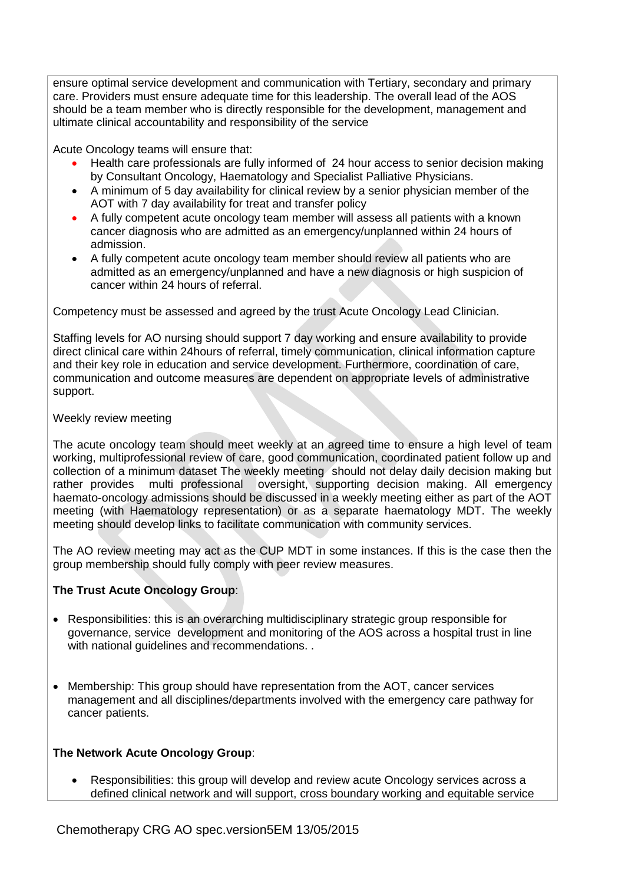ensure optimal service development and communication with Tertiary, secondary and primary care. Providers must ensure adequate time for this leadership. The overall lead of the AOS should be a team member who is directly responsible for the development, management and ultimate clinical accountability and responsibility of the service

Acute Oncology teams will ensure that:

- Health care professionals are fully informed of 24 hour access to senior decision making by Consultant Oncology, Haematology and Specialist Palliative Physicians.
- A minimum of 5 day availability for clinical review by a senior physician member of the AOT with 7 day availability for treat and transfer policy
- A fully competent acute oncology team member will assess all patients with a known cancer diagnosis who are admitted as an emergency/unplanned within 24 hours of admission.
- A fully competent acute oncology team member should review all patients who are admitted as an emergency/unplanned and have a new diagnosis or high suspicion of cancer within 24 hours of referral.

Competency must be assessed and agreed by the trust Acute Oncology Lead Clinician.

Staffing levels for AO nursing should support 7 day working and ensure availability to provide direct clinical care within 24hours of referral, timely communication, clinical information capture and their key role in education and service development. Furthermore, coordination of care, communication and outcome measures are dependent on appropriate levels of administrative support.

#### Weekly review meeting

The acute oncology team should meet weekly at an agreed time to ensure a high level of team working, multiprofessional review of care, good communication, coordinated patient follow up and collection of a minimum dataset The weekly meeting should not delay daily decision making but rather provides multi professional oversight, supporting decision making. All emergency haemato-oncology admissions should be discussed in a weekly meeting either as part of the AOT meeting (with Haematology representation) or as a separate haematology MDT. The weekly meeting should develop links to facilitate communication with community services.

The AO review meeting may act as the CUP MDT in some instances. If this is the case then the group membership should fully comply with peer review measures.

### **The Trust Acute Oncology Group**:

- Responsibilities: this is an overarching multidisciplinary strategic group responsible for governance, service development and monitoring of the AOS across a hospital trust in line with national guidelines and recommendations. .
- Membership: This group should have representation from the AOT, cancer services management and all disciplines/departments involved with the emergency care pathway for cancer patients.

### **The Network Acute Oncology Group**:

 Responsibilities: this group will develop and review acute Oncology services across a defined clinical network and will support, cross boundary working and equitable service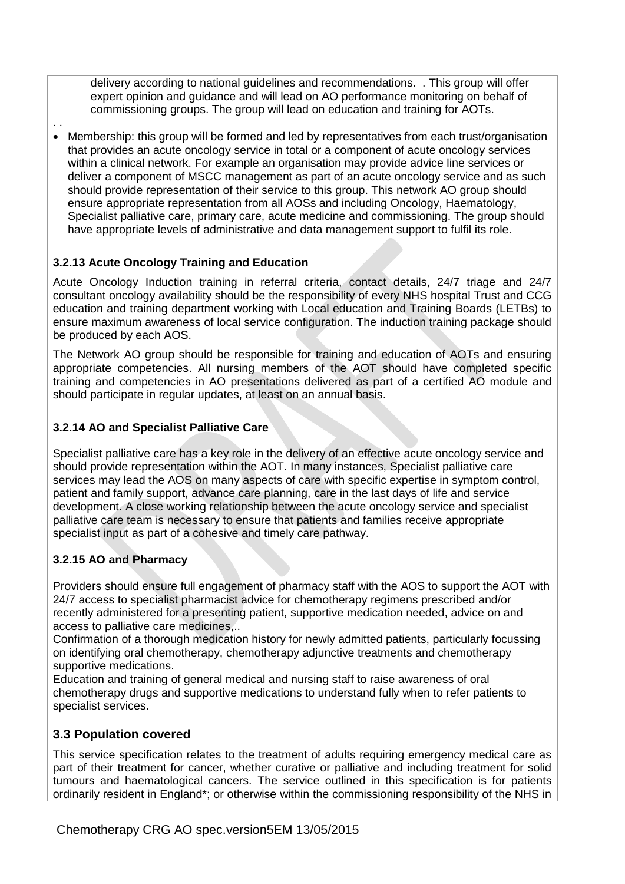delivery according to national guidelines and recommendations. . This group will offer expert opinion and guidance and will lead on AO performance monitoring on behalf of commissioning groups. The group will lead on education and training for AOTs.

. . Membership: this group will be formed and led by representatives from each trust/organisation that provides an acute oncology service in total or a component of acute oncology services within a clinical network. For example an organisation may provide advice line services or deliver a component of MSCC management as part of an acute oncology service and as such should provide representation of their service to this group. This network AO group should ensure appropriate representation from all AOSs and including Oncology, Haematology, Specialist palliative care, primary care, acute medicine and commissioning. The group should have appropriate levels of administrative and data management support to fulfil its role.

### **3.2.13 Acute Oncology Training and Education**

Acute Oncology Induction training in referral criteria, contact details, 24/7 triage and 24/7 consultant oncology availability should be the responsibility of every NHS hospital Trust and CCG education and training department working with Local education and Training Boards (LETBs) to ensure maximum awareness of local service configuration. The induction training package should be produced by each AOS.

The Network AO group should be responsible for training and education of AOTs and ensuring appropriate competencies. All nursing members of the AOT should have completed specific training and competencies in AO presentations delivered as part of a certified AO module and should participate in regular updates, at least on an annual basis.

### **3.2.14 AO and Specialist Palliative Care**

Specialist palliative care has a key role in the delivery of an effective acute oncology service and should provide representation within the AOT. In many instances, Specialist palliative care services may lead the AOS on many aspects of care with specific expertise in symptom control, patient and family support, advance care planning, care in the last days of life and service development. A close working relationship between the acute oncology service and specialist palliative care team is necessary to ensure that patients and families receive appropriate specialist input as part of a cohesive and timely care pathway.

### **3.2.15 AO and Pharmacy**

Providers should ensure full engagement of pharmacy staff with the AOS to support the AOT with 24/7 access to specialist pharmacist advice for chemotherapy regimens prescribed and/or recently administered for a presenting patient, supportive medication needed, advice on and access to palliative care medicines,..

Confirmation of a thorough medication history for newly admitted patients, particularly focussing on identifying oral chemotherapy, chemotherapy adjunctive treatments and chemotherapy supportive medications.

Education and training of general medical and nursing staff to raise awareness of oral chemotherapy drugs and supportive medications to understand fully when to refer patients to specialist services.

### **3.3 Population covered**

This service specification relates to the treatment of adults requiring emergency medical care as part of their treatment for cancer, whether curative or palliative and including treatment for solid tumours and haematological cancers. The service outlined in this specification is for patients ordinarily resident in England\*; or otherwise within the commissioning responsibility of the NHS in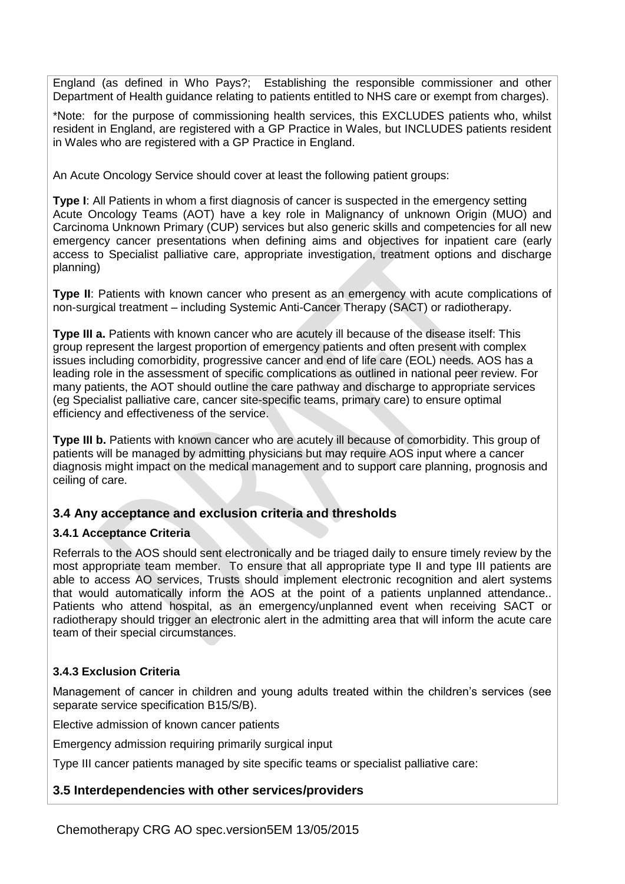England (as defined in Who Pays?; Establishing the responsible commissioner and other Department of Health guidance relating to patients entitled to NHS care or exempt from charges).

\*Note: for the purpose of commissioning health services, this EXCLUDES patients who, whilst resident in England, are registered with a GP Practice in Wales, but INCLUDES patients resident in Wales who are registered with a GP Practice in England.

An Acute Oncology Service should cover at least the following patient groups:

**Type I:** All Patients in whom a first diagnosis of cancer is suspected in the emergency setting Acute Oncology Teams (AOT) have a key role in Malignancy of unknown Origin (MUO) and Carcinoma Unknown Primary (CUP) services but also generic skills and competencies for all new emergency cancer presentations when defining aims and objectives for inpatient care (early access to Specialist palliative care, appropriate investigation, treatment options and discharge planning)

**Type II:** Patients with known cancer who present as an emergency with acute complications of non-surgical treatment – including Systemic Anti-Cancer Therapy (SACT) or radiotherapy.

**Type III a.** Patients with known cancer who are acutely ill because of the disease itself: This group represent the largest proportion of emergency patients and often present with complex issues including comorbidity, progressive cancer and end of life care (EOL) needs. AOS has a leading role in the assessment of specific complications as outlined in national peer review. For many patients, the AOT should outline the care pathway and discharge to appropriate services (eg Specialist palliative care, cancer site-specific teams, primary care) to ensure optimal efficiency and effectiveness of the service.

**Type III b.** Patients with known cancer who are acutely ill because of comorbidity. This group of patients will be managed by admitting physicians but may require AOS input where a cancer diagnosis might impact on the medical management and to support care planning, prognosis and ceiling of care.

### **3.4 Any acceptance and exclusion criteria and thresholds**

### **3.4.1 Acceptance Criteria**

Referrals to the AOS should sent electronically and be triaged daily to ensure timely review by the most appropriate team member. To ensure that all appropriate type II and type III patients are able to access AO services, Trusts should implement electronic recognition and alert systems that would automatically inform the AOS at the point of a patients unplanned attendance.. Patients who attend hospital, as an emergency/unplanned event when receiving SACT or radiotherapy should trigger an electronic alert in the admitting area that will inform the acute care team of their special circumstances.

### **3.4.3 Exclusion Criteria**

Management of cancer in children and young adults treated within the children's services (see separate service specification B15/S/B).

Elective admission of known cancer patients

Emergency admission requiring primarily surgical input

Type III cancer patients managed by site specific teams or specialist palliative care:

### **3.5 Interdependencies with other services/providers**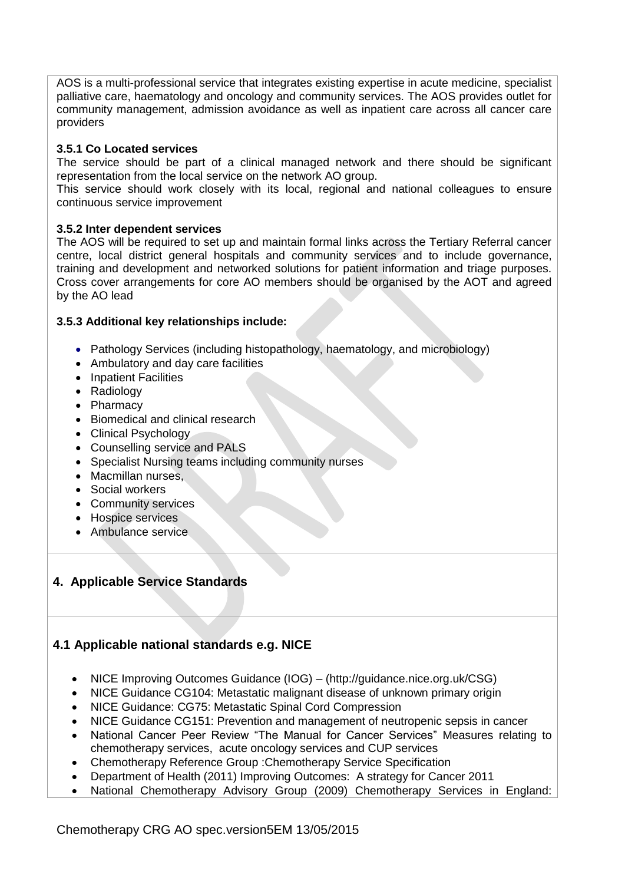AOS is a multi-professional service that integrates existing expertise in acute medicine, specialist palliative care, haematology and oncology and community services. The AOS provides outlet for community management, admission avoidance as well as inpatient care across all cancer care providers

#### **3.5.1 Co Located services**

The service should be part of a clinical managed network and there should be significant representation from the local service on the network AO group.

This service should work closely with its local, regional and national colleagues to ensure continuous service improvement

#### **3.5.2 Inter dependent services**

The AOS will be required to set up and maintain formal links across the Tertiary Referral cancer centre, local district general hospitals and community services and to include governance, training and development and networked solutions for patient information and triage purposes. Cross cover arrangements for core AO members should be organised by the AOT and agreed by the AO lead

#### **3.5.3 Additional key relationships include:**

- Pathology Services (including histopathology, haematology, and microbiology)
- Ambulatory and day care facilities
- Inpatient Facilities
- Radiology
- Pharmacy
- Biomedical and clinical research
- Clinical Psychology
- Counselling service and PALS
- Specialist Nursing teams including community nurses
- Macmillan nurses.
- Social workers
- Community services
- Hospice services
- Ambulance service

### **4. Applicable Service Standards**

# **4.1 Applicable national standards e.g. NICE**

- NICE Improving Outcomes Guidance (IOG) [\(http://guidance.nice.org.uk/CSG\)](http://guidance.nice.org.uk/CSG)
- NICE Guidance CG104: Metastatic malignant disease of unknown primary origin
- NICE Guidance: CG75: Metastatic Spinal Cord Compression
- NICE Guidance CG151: Prevention and management of neutropenic sepsis in cancer
- National Cancer Peer Review "The Manual for Cancer Services" Measures relating to chemotherapy services, acute oncology services and CUP services
- Chemotherapy Reference Group :Chemotherapy Service Specification
- Department of Health (2011) Improving Outcomes: A strategy for Cancer 2011
- National Chemotherapy Advisory Group (2009) Chemotherapy Services in England: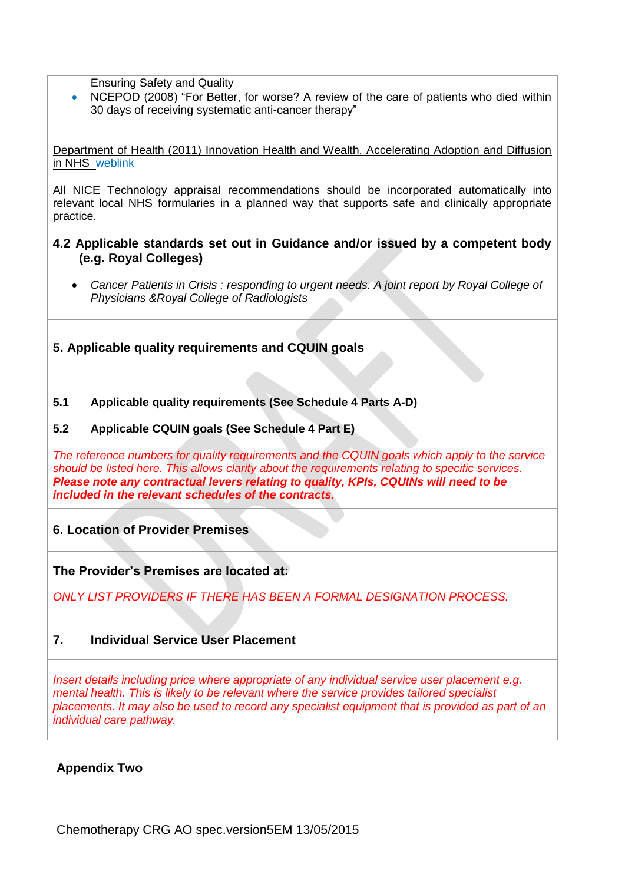Ensuring Safety and Quality

 NCEPOD (2008) "For Better, for worse? A review of the care of patients who died within 30 days of receiving systematic anti-cancer therapy"

Department of Health (2011) Innovation Health and Wealth, Accelerating Adoption and Diffusion in NHS weblink

All NICE Technology appraisal recommendations should be incorporated automatically into relevant local NHS formularies in a planned way that supports safe and clinically appropriate practice.

- **4.2 Applicable standards set out in Guidance and/or issued by a competent body (e.g. Royal Colleges)**
	- *Cancer Patients in Crisis : responding to urgent needs. A joint report by Royal College of Physicians &Royal College of Radiologists*
- **5. Applicable quality requirements and CQUIN goals**
- **5.1 Applicable quality requirements (See Schedule 4 Parts A-D)**

#### **5.2 Applicable CQUIN goals (See Schedule 4 Part E)**

*The reference numbers for quality requirements and the CQUIN goals which apply to the service should be listed here. This allows clarity about the requirements relating to specific services. Please note any contractual levers relating to quality, KPIs, CQUINs will need to be included in the relevant schedules of the contracts.*

# **6. Location of Provider Premises**

**The Provider's Premises are located at:**

*ONLY LIST PROVIDERS IF THERE HAS BEEN A FORMAL DESIGNATION PROCESS.*

### **7. Individual Service User Placement**

*Insert details including price where appropriate of any individual service user placement e.g. mental health. This is likely to be relevant where the service provides tailored specialist placements. It may also be used to record any specialist equipment that is provided as part of an individual care pathway.*

**Appendix Two**